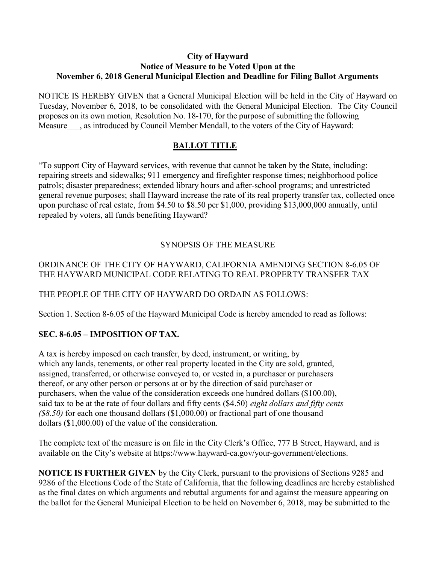#### City of Hayward Notice of Measure to be Voted Upon at the November 6, 2018 General Municipal Election and Deadline for Filing Ballot Arguments

NOTICE IS HEREBY GIVEN that a General Municipal Election will be held in the City of Hayward on Tuesday, November 6, 2018, to be consolidated with the General Municipal Election. The City Council proposes on its own motion, Resolution No. 18-170, for the purpose of submitting the following Measure , as introduced by Council Member Mendall, to the voters of the City of Hayward:

# BALLOT TITLE

"To support City of Hayward services, with revenue that cannot be taken by the State, including: repairing streets and sidewalks; 911 emergency and firefighter response times; neighborhood police patrols; disaster preparedness; extended library hours and after-school programs; and unrestricted general revenue purposes; shall Hayward increase the rate of its real property transfer tax, collected once upon purchase of real estate, from \$4.50 to \$8.50 per \$1,000, providing \$13,000,000 annually, until repealed by voters, all funds benefiting Hayward?

# SYNOPSIS OF THE MEASURE

# ORDINANCE OF THE CITY OF HAYWARD, CALIFORNIA AMENDING SECTION 8-6.05 OF THE HAYWARD MUNICIPAL CODE RELATING TO REAL PROPERTY TRANSFER TAX

### THE PEOPLE OF THE CITY OF HAYWARD DO ORDAIN AS FOLLOWS:

Section 1. Section 8-6.05 of the Hayward Municipal Code is hereby amended to read as follows:

### SEC. 8-6.05 – IMPOSITION OF TAX.

A tax is hereby imposed on each transfer, by deed, instrument, or writing, by which any lands, tenements, or other real property located in the City are sold, granted, assigned, transferred, or otherwise conveyed to, or vested in, a purchaser or purchasers thereof, or any other person or persons at or by the direction of said purchaser or purchasers, when the value of the consideration exceeds one hundred dollars (\$100.00), said tax to be at the rate of four dollars and fifty cents (\$4.50) eight dollars and fifty cents  $(88.50)$  for each one thousand dollars  $(1,000.00)$  or fractional part of one thousand dollars (\$1,000.00) of the value of the consideration.

The complete text of the measure is on file in the City Clerk's Office, 777 B Street, Hayward, and is available on the City's website at https://www.hayward-ca.gov/your-government/elections.

NOTICE IS FURTHER GIVEN by the City Clerk, pursuant to the provisions of Sections 9285 and 9286 of the Elections Code of the State of California, that the following deadlines are hereby established as the final dates on which arguments and rebuttal arguments for and against the measure appearing on the ballot for the General Municipal Election to be held on November 6, 2018, may be submitted to the